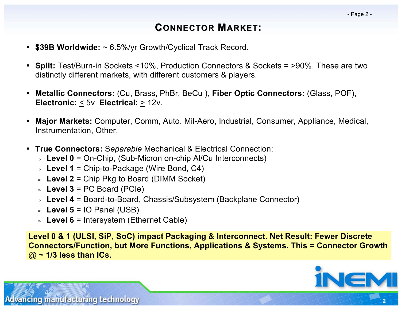# **CONNECTOR MARKET:**

- **\$39B Worldwide:** ~ 6.5%/yr Growth/Cyclical Track Record.
- **Split:** Test/Burn-in Sockets <10%, Production Connectors & Sockets = >90%. These are two distinctly different markets, with different customers & players.
- **Metallic Connectors:** (Cu, Brass, PhBr, BeCu ), **Fiber Optic Connectors:** (Glass, POF), **Electronic:** < 5v **Electrical:** > 12v.
- **Major Markets:** Computer, Comm, Auto. Mil-Aero, Industrial, Consumer, Appliance, Medical, Instrumentation, Other.
- **True Connectors:** S*eparable* Mechanical & Electrical Connection:
	- **Level 0** = On-Chip, (Sub-Micron on-chip Al/Cu Interconnects)
	- **Level 1** = Chip-to-Package (Wire Bond, C4)
	- **Level 2** = Chip Pkg to Board (DIMM Socket)
	- $\Rightarrow$  **Level 3** = PC Board (PCIe)
	- **Level 4** = Board-to-Board, Chassis/Subsystem (Backplane Connector)
	- $\Rightarrow$  **Level 5** = IO Panel (USB)
	- **Level 6** = Intersystem (Ethernet Cable)

**Level 0 & 1 (ULSI, SiP, SoC) impact Packaging & Interconnect. Net Result: Fewer Discrete Connectors/Function, but More Functions, Applications & Systems. This = Connector Growth** @ **~ 1/3 less than ICs.**



ancing manufacturing technology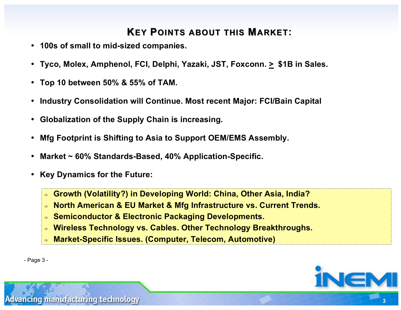# **KEY POINTS ABOUT THIS MARKET:**

- **100s of small to mid-sized companies.**
- **Tyco, Molex, Amphenol, FCI, Delphi, Yazaki, JST, Foxconn. > \$1B in Sales.**
- **Top 10 between 50% & 55% of TAM.**
- **Industry Consolidation will Continue. Most recent Major: FCI/Bain Capital**
- **Globalization of the Supply Chain is increasing.**
- **Mfg Footprint is Shifting to Asia to Support OEM/EMS Assembly.**
- **Market ~ 60% Standards-Based, 40% Application-Specific.**
- **Key Dynamics for the Future:**
	- **Growth (Volatility?) in Developing World: China, Other Asia, India?**
	- **North American & EU Market & Mfg Infrastructure vs. Current Trends.**
	- **Semiconductor & Electronic Packaging Developments.**
	- **Wireless Technology vs. Cables. Other Technology Breakthroughs.**
	- **Market-Specific Issues. (Computer, Telecom, Automotive)**





**3**

ancing manufacturing technology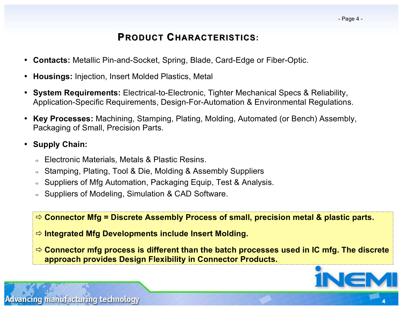### **PRODUCT CHARACTERISTICS:**

- **Contacts:** Metallic Pin-and-Socket, Spring, Blade, Card-Edge or Fiber-Optic.
- **Housings:** Injection, Insert Molded Plastics, Metal
- **System Requirements:** Electrical-to-Electronic, Tighter Mechanical Specs & Reliability, Application-Specific Requirements, Design-For-Automation & Environmental Regulations.
- **Key Processes:** Machining, Stamping, Plating, Molding, Automated (or Bench) Assembly, Packaging of Small, Precision Parts.
- **Supply Chain:**
	- Electronic Materials, Metals & Plastic Resins.
	- Stamping, Plating, Tool & Die, Molding & Assembly Suppliers
	- Suppliers of Mfg Automation, Packaging Equip, Test & Analysis.
	- Suppliers of Modeling, Simulation & CAD Software.

**Connector Mfg = Discrete Assembly Process of small, precision metal & plastic parts.**

- **Integrated Mfg Developments include Insert Molding.**
- **Connector mfg process is different than the batch processes used in IC mfg. The discrete approach provides Design Flexibility in Connector Products.**



**4**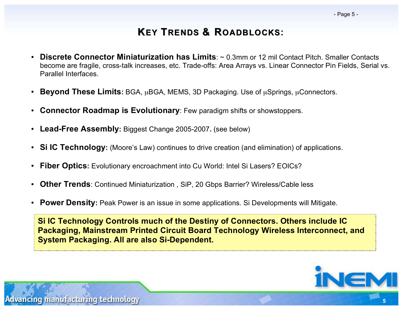## **KEY TRENDS & ROADBLOCKS:**

- **Discrete Connector Miniaturization has Limits**: ~ 0.3mm or 12 mil Contact Pitch. Smaller Contacts become are fragile, cross-talk increases, etc. Trade-offs: Area Arrays vs. Linear Connector Pin Fields, Serial vs. Parallel Interfaces.
- **Beyond These Limits:** BGA, µBGA, MEMS, 3D Packaging. Use of µSprings, µConnectors.
- **Connector Roadmap is Evolutionary**: Few paradigm shifts or showstoppers.
- **Lead-Free Assembly:** Biggest Change 2005-2007**.** (see below)
- **Si IC Technology:** (Moore's Law) continues to drive creation (and elimination) of applications.
- **Fiber Optics:** Evolutionary encroachment into Cu World: Intel Si Lasers? EOICs?
- **Other Trends**: Continued Miniaturization , SiP, 20 Gbps Barrier? Wireless/Cable less
- **Power Density:** Peak Power is an issue in some applications. Si Developments will Mitigate.

**Si IC Technology Controls much of the Destiny of Connectors. Others include IC Packaging, Mainstream Printed Circuit Board Technology Wireless Interconnect, and System Packaging. All are also Si-Dependent.**



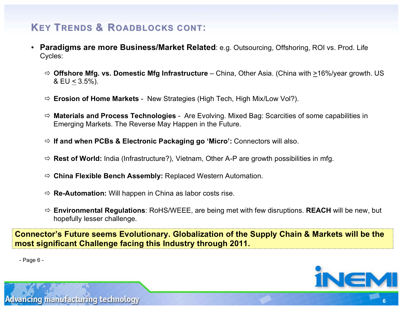# **KEY TRENDS & ROADBLOCKS CONT:**

- **Paradigms are more Business/Market Related**: e.g. Outsourcing, Offshoring, ROI vs. Prod. Life Cycles:
	- **Offshore Mfg. vs. Domestic Mfg Infrastructure** China, Other Asia. (China with >16%/year growth. US & EU < 3.5%).
	- **Erosion of Home Markets** New Strategies (High Tech, High Mix/Low Vol?).
	- **Materials and Process Technologies** Are Evolving. Mixed Bag: Scarcities of some capabilities in Emerging Markets. The Reverse May Happen in the Future.
	- **If and when PCBs & Electronic Packaging go 'Micro':** Connectors will also.
	- **Rest of World:** India (Infrastructure?), Vietnam, Other A-P are growth possibilities in mfg.
	- **China Flexible Bench Assembly:** Replaced Western Automation.
	- **Re-Automation:** Will happen in China as labor costs rise.
	- **Environmental Regulations**: RoHS/WEEE, are being met with few disruptions. **REACH** will be new, but hopefully lesser challenge.

**Connector's Future seems Evolutionary. Globalization of the Supply Chain & Markets will be the most significant Challenge facing this Industry through 2011.**

- Page 6 -



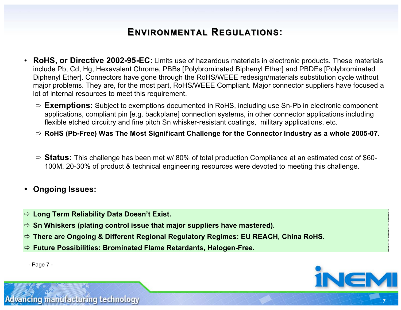## **ENVIRONMENTAL REGULATIONS:**

- **RoHS, or Directive 2002-95-EC:** Limits use of hazardous materials in electronic products. These materials include Pb, Cd, Hg, Hexavalent Chrome, PBBs [Polybrominated Biphenyl Ether] and PBDEs [Polybrominated Diphenyl Ether]. Connectors have gone through the RoHS/WEEE redesign/materials substitution cycle without major problems. They are, for the most part, RoHS/WEEE Compliant. Major connector suppliers have focused a lot of internal resources to meet this requirement.
	- **Exemptions:** Subject to exemptions documented in RoHS, including use Sn-Pb in electronic component applications, compliant pin [e.g. backplane] connection systems, in other connector applications including flexible etched circuitry and fine pitch Sn whisker-resistant coatings, military applications, etc.
	- **RoHS (Pb-Free) Was The Most Significant Challenge for the Connector Industry as a whole 2005-07.**
	- **Status:** This challenge has been met w/ 80% of total production Compliance at an estimated cost of \$60- 100M. 20-30% of product & technical engineering resources were devoted to meeting this challenge.
- **Ongoing Issues:**
- **Long Term Reliability Data Doesn't Exist.**
- **Sn Whiskers (plating control issue that major suppliers have mastered).**
- **There are Ongoing & Different Regional Regulatory Regimes: EU REACH, China RoHS.**
- **Future Possibilities: Brominated Flame Retardants, Halogen-Free.**





**7**

ancing manufacturing technology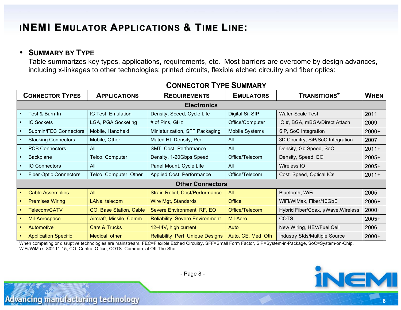# **INEMI EMULATOR APPLICATIONS & TIME LINE:**

#### • **SUMMARY BY TYPE**

vancing manufacturing technology

Table summarizes key types, applications, requirements, etc. Most barriers are overcome by design advances, including x-linkages to other technologies: printed circuits, flexible etched circuitry and fiber optics:

| <b>CONNECTOR TYPES</b>        | <b>APPLICATIONS</b>      | <b>REQUIREMENTS</b>                    | <b>EMULATORS</b>    | <b>TRANSITIONS*</b>                | <b>WHEN</b> |
|-------------------------------|--------------------------|----------------------------------------|---------------------|------------------------------------|-------------|
| <b>Electronics</b>            |                          |                                        |                     |                                    |             |
| Test & Burn-In                | IC Test, Emulation       | Density, Speed, Cycle Life             | Digital Si, SIP     | <b>Wafer-Scale Test</b>            | 2011        |
| <b>IC Sockets</b>             | LGA, PGA Socketing       | # of Pins, GHz                         | Office/Computer     | IO #, BGA, mBGA/Direct Attach      | 2009        |
| Submin/FEC Connectors         | Mobile, Handheld         | Miniaturization, SFF Packaging         | Mobile Systems      | SiP, SoC Integration               | $2000+$     |
| <b>Stacking Connectors</b>    | Mobile, Other            | Mated Ht, Density, Perf.               | All                 | 3D Circuitry, SiP/SoC Integration  | 2007        |
| <b>PCB Connectors</b>         | All                      | SMT, Cost, Performance                 | All                 | Density, Gb Speed, SoC             | $2011+$     |
| Backplane                     | Telco, Computer          | Density, 1-20Gbps Speed                | Office/Telecom      | Density, Speed, EO                 | $2005+$     |
| <b>IO Connectors</b>          | All                      | Panel Mount, Cycle Life                | All                 | Wireless IO                        | $2005+$     |
| <b>Fiber Optic Connectors</b> | Telco, Computer, Other   | Applied Cost, Performance              | Office/Telecom      | Cost, Speed, Optical ICs           | $2011+$     |
| <b>Other Connectors</b>       |                          |                                        |                     |                                    |             |
| <b>Cable Assemblies</b>       | All                      | Strain Relief, Cost/Performance        | All                 | Bluetooth, WiFi                    | 2005        |
| <b>Premises Wiring</b>        | LANs, telecom            | Wire Mgt, Standards                    | <b>Office</b>       | WiFi/WiMax, Fiber/10GbE            | $2006+$     |
| Telecom/CATV                  | CO, Base Station, Cable  | Severe Environment, RF, EO             | Office/Telecom      | Hybrid Fiber/Coax, µWave, Wireless | $2000+$     |
| Mil-Aerospace                 | Aircraft, Missile, Comm. | <b>Reliability, Severe Environment</b> | Mil-Aero            | <b>COTS</b>                        | $2005+$     |
| Automotive                    | Cars & Trucks            | 12-44V, high current                   | Auto                | New Wiring, HEV/Fuel Cell          | 2006        |
| <b>Application Specific</b>   | Medical, other           | Reliability, Perf, Unique Designs      | Auto, CE, Med, Oth. | Industry Stds/Multiple Source      | $2000+$     |

#### **CONNECTOR TYPE SUMMARY**

When competing or disruptive technologies are mainstream. FEC=Flexible Etched Circuitry, SFF=Small Form Factor, SiP=System-in-Package, SoC=System-on-Chip, WiFi/WiMax=802.11-15, CO=Central Office, COTS=Commercial-Off-The-Shelf



**8**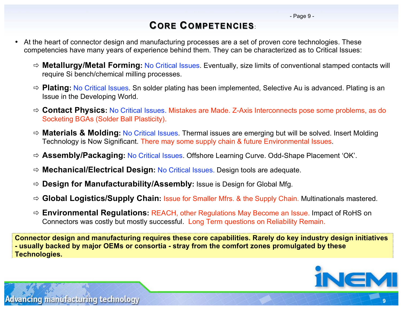# **CORE COMPETENCIES**:

- At the heart of connector design and manufacturing processes are a set of proven core technologies. These competencies have many years of experience behind them. They can be characterized as to Critical Issues:
	- **Metallurgy/Metal Forming:** No Critical Issues. Eventually, size limits of conventional stamped contacts will require Si bench/chemical milling processes.
	- **Plating:** No Critical Issues. Sn solder plating has been implemented, Selective Au is advanced. Plating is an Issue in the Developing World.
	- **Contact Physics:** No Critical Issues. Mistakes are Made. Z-Axis Interconnects pose some problems, as do Socketing BGAs (Solder Ball Plasticity).
	- **Materials & Molding:** No Critical Issues. Thermal issues are emerging but will be solved. Insert Molding Technology is Now Significant. There may some supply chain & future Environmental Issues.
	- **Assembly/Packaging:** No Critical Issues. Offshore Learning Curve. Odd-Shape Placement 'OK'.
	- **Mechanical/Electrical Design:** No Critical Issues. Design tools are adequate.
	- **Design for Manufacturability/Assembly:** Issue is Design for Global Mfg.
	- **Global Logistics/Supply Chain:** Issue for Smaller Mfrs. & the Supply Chain. Multinationals mastered.
	- **Environmental Regulations:** REACH, other Regulations May Become an Issue. Impact of RoHS on Connectors was costly but mostly successful. Long Term questions on Reliability Remain.

**Connector design and manufacturing requires these core capabilities. Rarely do key industry design initiatives - usually backed by major OEMs or consortia - stray from the comfort zones promulgated by these Technologies.**



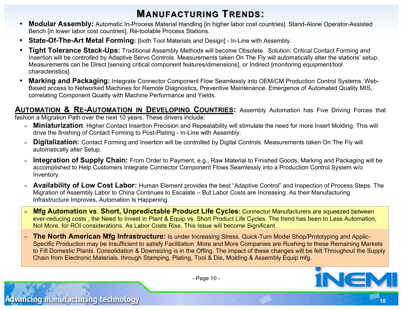## **MANUFACTURING TRENDS:**

- **Modular Assembly:** Automatic In-Process Material Handling [in higher labor cost countries]. Stand-Alone Operator-Assisted Bench [in lower labor cost countries], Re-toolable Process Stations.
- **State-Of-The-Art Metal Forming:** [both Tool Materials and Design] In-Line with Assembly.
- **Tight Tolerance Stack-Ups:** Traditional Assembly Methods will become Obsolete. Solution: Critical Contact Forming and Insertion will be controlled by Adaptive Servo Controls. Measurements taken On The Fly will automatically alter the stations' setup. Measurements can be Direct [sensing critical component features/dimensions], or Indirect [monitoring equipment/tool characteristics].
- **Marking and Packaging:** Integrate Connector Component Flow Seamlessly into OEM/CM Production Control Systems. Web-Based access to Networked Machines for Remote Diagnostics, Preventive Maintenance. Emergence of Automated Quality MIS, correlating Component Quality with Machine Performance and Yields.

**AUTOMATION & RE-AUTOMATION IN DEVELOPING COUNTRIES:** Assembly Automation has Five Driving Forces that fashion a Migration Path over the next 10 years. These drivers include:

- **Miniaturization**: Higher Contact Insertion Precision and Repeatability will stimulate the need for more Insert Molding. This will drive the finishing of Contact Forming to Post-Plating - In-Line with Assembly.
- **Digitalization:** Contact Forming and Insertion will be controlled by Digital Controls. Measurements taken On The Fly will automatically alter Setup.
- **Integration of Supply Chain:** From Order to Payment, e.g., Raw Material to Finished Goods, Marking and Packaging will be accomplished to Help Customers Integrate Connector Component Flows Seamlessly into a Production Control System w/o Inventory.
- **Availability of Low Cost Labor:** Human Element provides the best "Adaptive Control" and Inspection of Process Steps. The Migration of Assembly Labor to China Continues to Escalate – But Labor Costs are Increasing. As their Manufacturing Infrastructure Improves, Automation Is Happening.
- **Mfg Automation vs**. **Short, Unpredictable Product Life Cycles:** Connector Manufacturers are squeezed between ever-reducing costs , the Need to Invest in Plant & Equip vs. Short Product Life Cycles. The trend has been to Less Automation, Not More, for ROI considerations. As Labor Costs Rise, This Issue will become Significant.
- **The North American Mfg Infrastructure:** Is under Increasing Stress. Quick-Turn Model Shop/Prototyping and Applic-Specific Production may be Insufficient to satisfy Facilitation. More and More Companies are Rushing to these Remaining Markets to Fill Domestic Plants. Consolidation & Downsizing is in the Offing. The impact of these changes will be felt Throughout the Supply Chain from Electronic Materials, through Stamping, Plating, Tool & Die, Molding & Assembly Equip mfg.



- Page 10 -